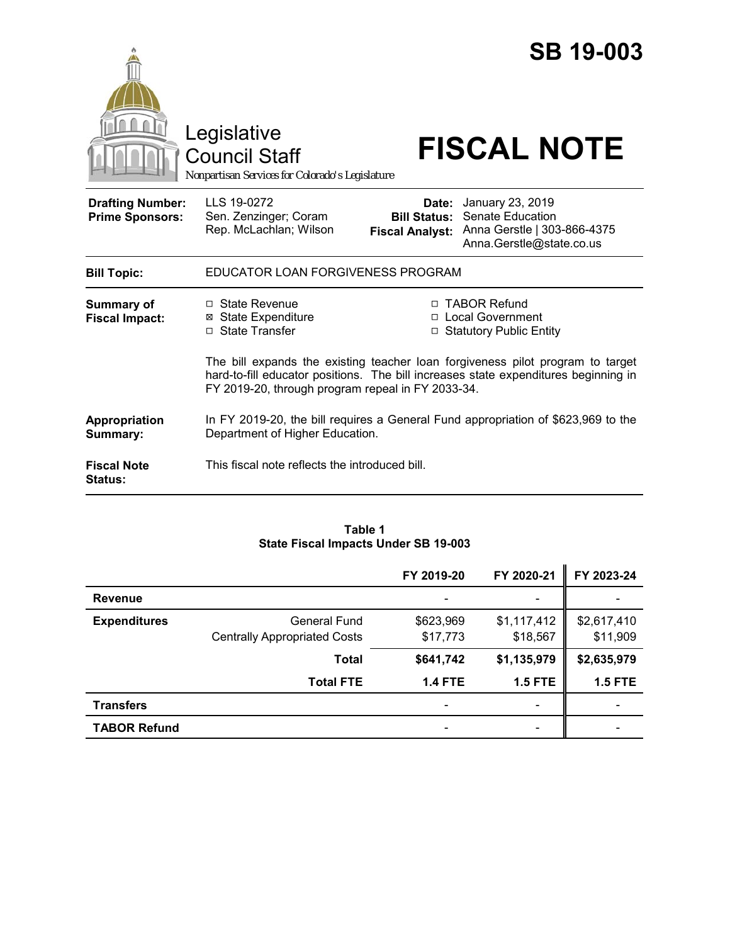

#### **Table 1 State Fiscal Impacts Under SB 19-003**

|                     |                                     | FY 2019-20     | FY 2020-21               | FY 2023-24     |
|---------------------|-------------------------------------|----------------|--------------------------|----------------|
| <b>Revenue</b>      |                                     |                | $\overline{\phantom{a}}$ |                |
| <b>Expenditures</b> | General Fund                        | \$623,969      | \$1,117,412              | \$2,617,410    |
|                     | <b>Centrally Appropriated Costs</b> | \$17,773       | \$18,567                 | \$11,909       |
|                     | <b>Total</b>                        | \$641,742      | \$1,135,979              | \$2,635,979    |
|                     | <b>Total FTE</b>                    | <b>1.4 FTE</b> | <b>1.5 FTE</b>           | <b>1.5 FTE</b> |
| <b>Transfers</b>    |                                     |                | $\overline{\phantom{a}}$ |                |
| <b>TABOR Refund</b> |                                     |                | $\overline{\phantom{a}}$ |                |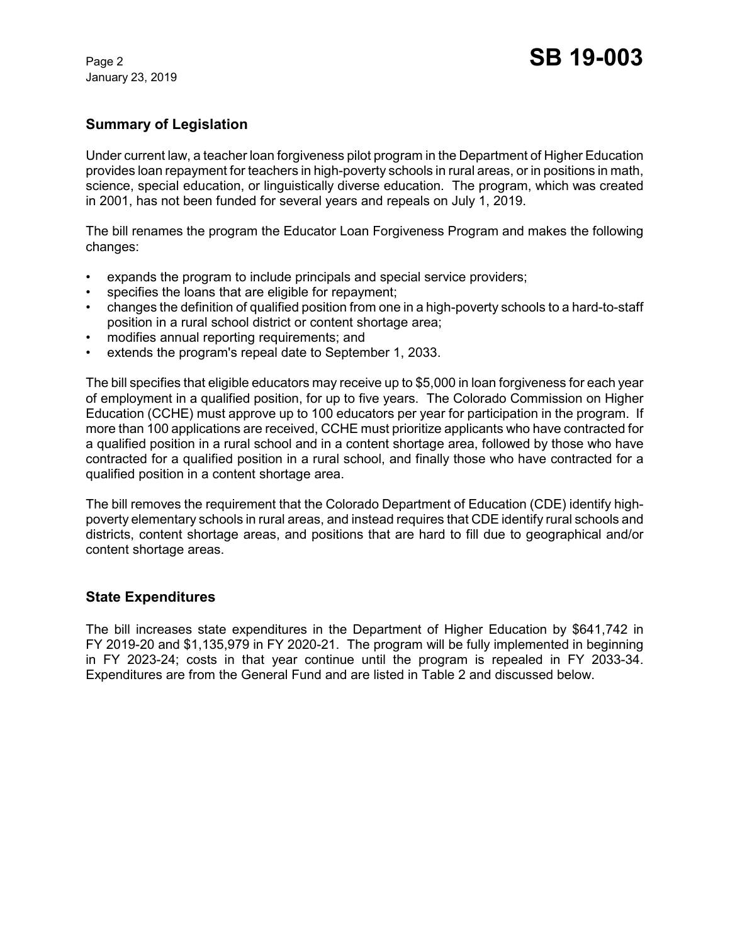January 23, 2019

## **Summary of Legislation**

Under current law, a teacher loan forgiveness pilot program in the Department of Higher Education provides loan repayment for teachers in high-poverty schools in rural areas, or in positions in math, science, special education, or linguistically diverse education. The program, which was created in 2001, has not been funded for several years and repeals on July 1, 2019.

The bill renames the program the Educator Loan Forgiveness Program and makes the following changes:

- expands the program to include principals and special service providers;
- specifies the loans that are eligible for repayment;
- changes the definition of qualified position from one in a high-poverty schools to a hard-to-staff position in a rural school district or content shortage area;
- modifies annual reporting requirements; and
- extends the program's repeal date to September 1, 2033.

The bill specifies that eligible educators may receive up to \$5,000 in loan forgiveness for each year of employment in a qualified position, for up to five years. The Colorado Commission on Higher Education (CCHE) must approve up to 100 educators per year for participation in the program. If more than 100 applications are received, CCHE must prioritize applicants who have contracted for a qualified position in a rural school and in a content shortage area, followed by those who have contracted for a qualified position in a rural school, and finally those who have contracted for a qualified position in a content shortage area.

The bill removes the requirement that the Colorado Department of Education (CDE) identify highpoverty elementary schools in rural areas, and instead requires that CDE identify rural schools and districts, content shortage areas, and positions that are hard to fill due to geographical and/or content shortage areas.

### **State Expenditures**

The bill increases state expenditures in the Department of Higher Education by \$641,742 in FY 2019-20 and \$1,135,979 in FY 2020-21. The program will be fully implemented in beginning in FY 2023-24; costs in that year continue until the program is repealed in FY 2033-34. Expenditures are from the General Fund and are listed in Table 2 and discussed below.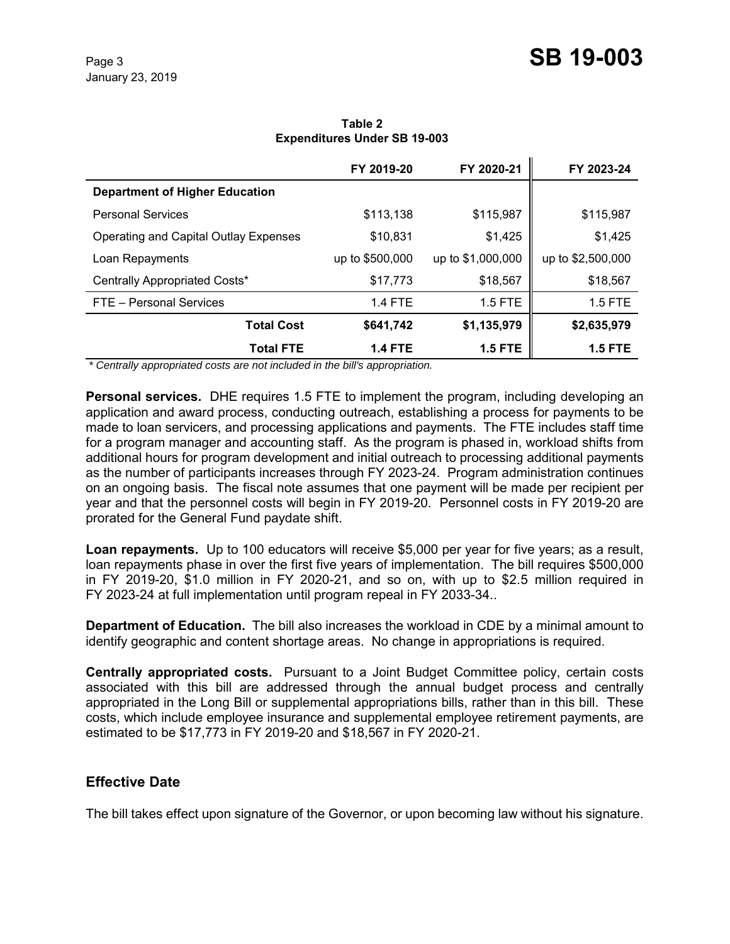|                                       | FY 2019-20      | FY 2020-21        | FY 2023-24        |
|---------------------------------------|-----------------|-------------------|-------------------|
| <b>Department of Higher Education</b> |                 |                   |                   |
| <b>Personal Services</b>              | \$113,138       | \$115,987         | \$115,987         |
| Operating and Capital Outlay Expenses | \$10,831        | \$1,425           | \$1,425           |
| Loan Repayments                       | up to \$500,000 | up to \$1,000,000 | up to \$2,500,000 |
| Centrally Appropriated Costs*         | \$17,773        | \$18,567          | \$18,567          |
| FTE - Personal Services               | <b>1.4 FTE</b>  | 1.5 FTE           | 1.5 FTE           |
| <b>Total Cost</b>                     | \$641,742       | \$1,135,979       | \$2,635,979       |
| <b>Total FTE</b><br>.<br>.            | <b>1.4 FTE</b>  | <b>1.5 FTE</b>    | <b>1.5 FTE</b>    |

**Table 2 Expenditures Under SB 19-003**

 *\* Centrally appropriated costs are not included in the bill's appropriation.*

**Personal services.** DHE requires 1.5 FTE to implement the program, including developing an application and award process, conducting outreach, establishing a process for payments to be made to loan servicers, and processing applications and payments. The FTE includes staff time for a program manager and accounting staff. As the program is phased in, workload shifts from additional hours for program development and initial outreach to processing additional payments as the number of participants increases through FY 2023-24. Program administration continues on an ongoing basis. The fiscal note assumes that one payment will be made per recipient per year and that the personnel costs will begin in FY 2019-20. Personnel costs in FY 2019-20 are prorated for the General Fund paydate shift.

**Loan repayments.** Up to 100 educators will receive \$5,000 per year for five years; as a result, loan repayments phase in over the first five years of implementation. The bill requires \$500,000 in FY 2019-20, \$1.0 million in FY 2020-21, and so on, with up to \$2.5 million required in FY 2023-24 at full implementation until program repeal in FY 2033-34..

**Department of Education.** The bill also increases the workload in CDE by a minimal amount to identify geographic and content shortage areas. No change in appropriations is required.

**Centrally appropriated costs.** Pursuant to a Joint Budget Committee policy, certain costs associated with this bill are addressed through the annual budget process and centrally appropriated in the Long Bill or supplemental appropriations bills, rather than in this bill. These costs, which include employee insurance and supplemental employee retirement payments, are estimated to be \$17,773 in FY 2019-20 and \$18,567 in FY 2020-21.

### **Effective Date**

The bill takes effect upon signature of the Governor, or upon becoming law without his signature.